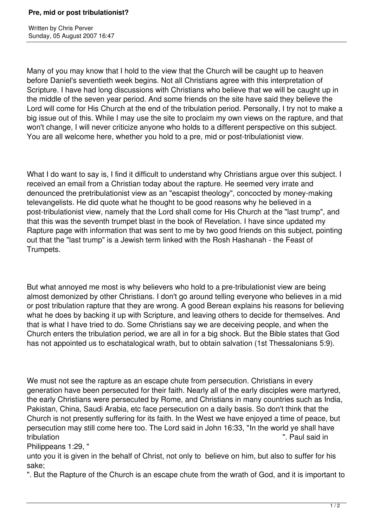Written by Chris Perver Sunday, 05 August 2007 16:47

Many of you may know that I hold to the view that the Church will be caught up to heaven before Daniel's seventieth week begins. Not all Christians agree with this interpretation of Scripture. I have had long discussions with Christians who believe that we will be caught up in the middle of the seven year period. And some friends on the site have said they believe the Lord will come for His Church at the end of the tribulation period. Personally, I try not to make a big issue out of this. While I may use the site to proclaim my own views on the rapture, and that won't change, I will never criticize anyone who holds to a different perspective on this subject. You are all welcome here, whether you hold to a pre, mid or post-tribulationist view.

What I do want to say is, I find it difficult to understand why Christians argue over this subject. I received an email from a Christian today about the rapture. He seemed very irrate and denounced the pretribulationist view as an "escapist theology", concocted by money-making televangelists. He did quote what he thought to be good reasons why he believed in a post-tribulationist view, namely that the Lord shall come for His Church at the "last trump", and that this was the seventh trumpet blast in the book of Revelation. I have since updated my Rapture page with information that was sent to me by two good friends on this subject, pointing out that the "last trump" is a Jewish term linked with the Rosh Hashanah - the Feast of Trumpets.

But what annoyed me most is why believers who hold to a pre-tribulationist view are being almost demonized by other Christians. I don't go around telling everyone who believes in a mid or post tribulation rapture that they are wrong. A good Berean explains his reasons for believing what he does by backing it up with Scripture, and leaving others to decide for themselves. And that is what I have tried to do. Some Christians say we are deceiving people, and when the Church enters the tribulation period, we are all in for a big shock. But the Bible states that God has not appointed us to eschatalogical wrath, but to obtain salvation (1st Thessalonians 5:9).

We must not see the rapture as an escape chute from persecution. Christians in every generation have been persecuted for their faith. Nearly all of the early disciples were martyred, the early Christians were persecuted by Rome, and Christians in many countries such as India, Pakistan, China, Saudi Arabia, etc face persecution on a daily basis. So don't think that the Church is not presently suffering for its faith. In the West we have enjoyed a time of peace, but persecution may still come here too. The Lord said in John 16:33, "In the world ye shall have tribulation ". Paul said in

Philippeans 1:29, "

unto you it is given in the behalf of Christ, not only to believe on him, but also to suffer for his sake;

". But the Rapture of the Church is an escape chute from the wrath of God, and it is important to